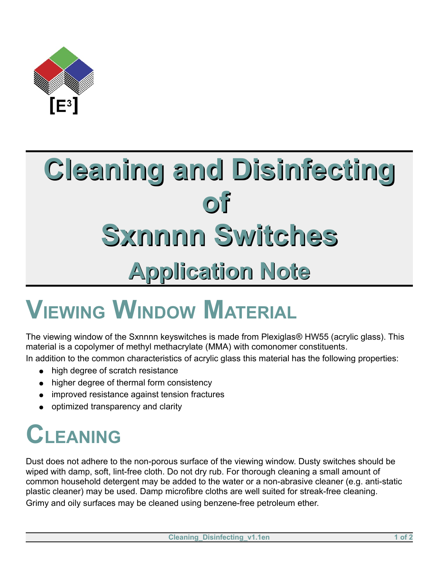

# **Cleaning and Disinfecting of Sxnnnn Switches Application Note**

# **VIEWING WINDOW MATERIAL**

The viewing window of the Sxnnnn keyswitches is made from Plexiglas® HW55 (acrylic glass). This material is a copolymer of methyl methacrylate (MMA) with comonomer constituents. In addition to the common characteristics of acrylic glass this material has the following properties:

- high degree of scratch resistance
- higher degree of thermal form consistency
- improved resistance against tension fractures
- optimized transparency and clarity

### **CLEANING**

Dust does not adhere to the non-porous surface of the viewing window. Dusty switches should be wiped with damp, soft, lint-free cloth. Do not dry rub. For thorough cleaning a small amount of common household detergent may be added to the water or a non-abrasive cleaner (e.g. anti-static plastic cleaner) may be used. Damp microfibre cloths are well suited for streak-free cleaning. Grimy and oily surfaces may be cleaned using benzene-free petroleum ether.